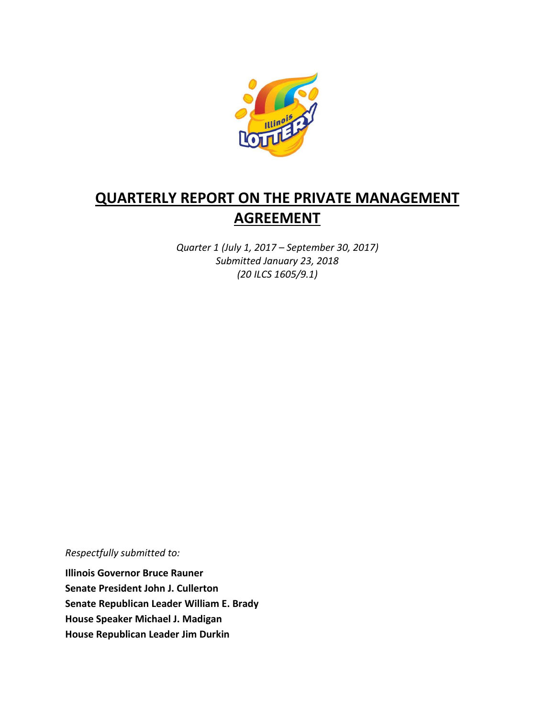

# **QUARTERLY REPORT ON THE PRIVATE MANAGEMENT AGREEMENT**

*Quarter 1 (July 1, 2017 – September 30, 2017) Submitted January 23, 2018 (20 ILCS 1605/9.1)*

*Respectfully submitted to:* 

**Illinois Governor Bruce Rauner Senate President John J. Cullerton Senate Republican Leader William E. Brady House Speaker Michael J. Madigan House Republican Leader Jim Durkin**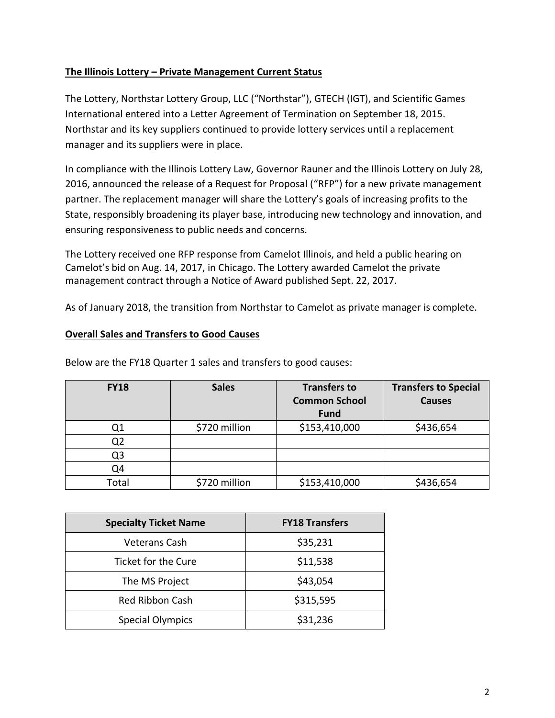## **The Illinois Lottery – Private Management Current Status**

The Lottery, Northstar Lottery Group, LLC ("Northstar"), GTECH (IGT), and Scientific Games International entered into a Letter Agreement of Termination on September 18, 2015. Northstar and its key suppliers continued to provide lottery services until a replacement manager and its suppliers were in place.

In compliance with the Illinois Lottery Law, Governor Rauner and the Illinois Lottery on July 28, 2016, announced the release of a Request for Proposal ("RFP") for a new private management partner. The replacement manager will share the Lottery's goals of increasing profits to the State, responsibly broadening its player base, introducing new technology and innovation, and ensuring responsiveness to public needs and concerns.

The Lottery received one RFP response from Camelot Illinois, and held a public hearing on Camelot's bid on Aug. 14, 2017, in Chicago. The Lottery awarded Camelot the private management contract through a Notice of Award published Sept. 22, 2017.

As of January 2018, the transition from Northstar to Camelot as private manager is complete.

#### **Overall Sales and Transfers to Good Causes**

| <b>FY18</b> | <b>Sales</b>  | <b>Transfers to</b><br><b>Common School</b><br><b>Fund</b> | <b>Transfers to Special</b><br><b>Causes</b> |
|-------------|---------------|------------------------------------------------------------|----------------------------------------------|
| Q1          | \$720 million | \$153,410,000                                              | \$436,654                                    |
| Q2          |               |                                                            |                                              |
| Q3          |               |                                                            |                                              |
| Q4          |               |                                                            |                                              |
| Total       | \$720 million | \$153,410,000                                              | \$436,654                                    |

Below are the FY18 Quarter 1 sales and transfers to good causes:

| <b>Specialty Ticket Name</b> | <b>FY18 Transfers</b> |  |
|------------------------------|-----------------------|--|
| Veterans Cash                | \$35,231              |  |
| Ticket for the Cure          | \$11,538              |  |
| The MS Project               | \$43,054              |  |
| <b>Red Ribbon Cash</b>       | \$315,595             |  |
| <b>Special Olympics</b>      | \$31,236              |  |